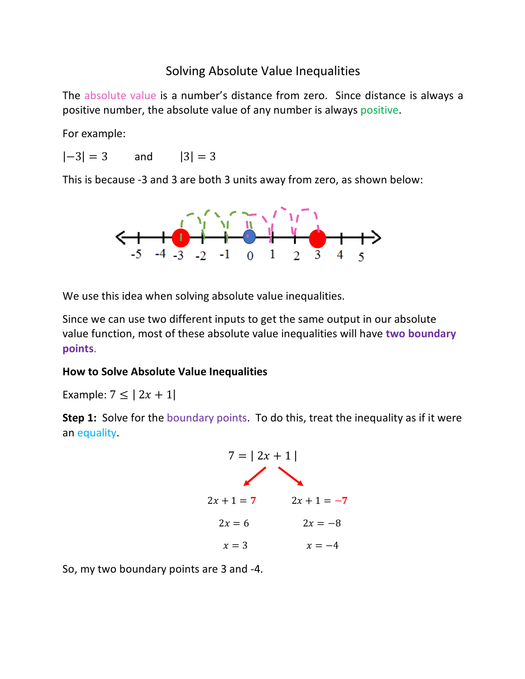## Solving Absolute Value Inequalities

The absolute value is a number's distance from zero. Since distance is always a positive number, the absolute value of any number is always positive.

For example:

 $|-3| = 3$  and  $|3| = 3$ 

This is because -3 and 3 are both 3 units away from zero, as shown below:



We use this idea when solving absolute value inequalities.

Since we can use two different inputs to get the same output in our absolute value function, most of these absolute value inequalities will have **two boundary points**.

## **How to Solve Absolute Value Inequalities**

Example:  $7 \le |2x + 1|$ 

**Step 1:** Solve for the boundary points. To do this, treat the inequality as if it were an equality.

$$
7 = | 2x + 1 |
$$
  
2x + 1 = 7  
2x = 6  

$$
2x = 3
$$
  
2x = -8  

$$
x = 3
$$
  
x = -4

So, my two boundary points are 3 and -4.